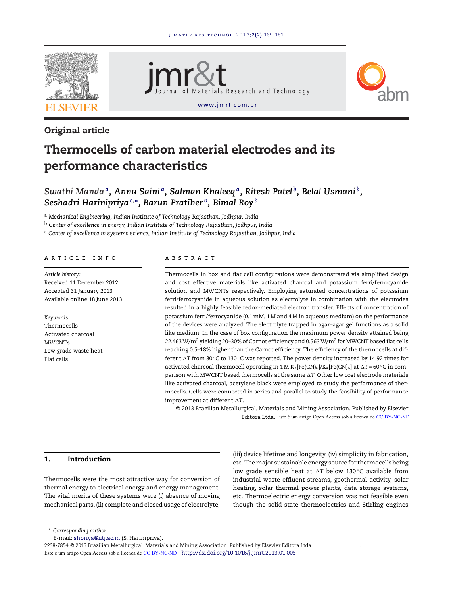

# Original article





# Thermocells of carbon material electrodes and its performance characteristics

# *Swathi Manda<sup>a</sup> , Annu Saini <sup>a</sup> , Salman Khaleeq<sup>a</sup> , Ritesh Patel <sup>b</sup> , Belal Usmani <sup>b</sup> , Seshadri Harinipriya<sup>c</sup>*,<sup>∗</sup> *, Barun Pratiher <sup>b</sup> , Bimal Roy <sup>b</sup>*

<sup>a</sup> *Mechanical Engineering, Indian Institute of Technology Rajasthan, Jodhpur, India*

<sup>b</sup> *Center of excellence in energy, Indian Institute of Technology Rajasthan, Jodhpur, India*

<sup>c</sup> *Center of excellence in systems science, Indian Institute of Technology Rajasthan, Jodhpur, India*

# article info

*Article history:* Received 11 December 2012 Accepted 31 January 2013 Available online 18 June 2013

*Keywords:* Thermocells Activated charcoal **MWCNTs** Low grade waste heat Flat cells

#### **ARSTRACT**

Thermocells in box and flat cell configurations were demonstrated via simplified design and cost effective materials like activated charcoal and potassium ferri/ferrocyanide solution and MWCNTs respectively. Employing saturated concentrations of potassium ferri/ferrocyanide in aqueous solution as electrolyte in combination with the electrodes resulted in a highly feasible redox-mediated electron transfer. Effects of concentration of potassium ferri/ferrocyanide (0.1 mM, 1 M and 4 M in aqueous medium) on the performance of the devices were analyzed. The electrolyte trapped in agar–agar gel functions as a solid like medium. In the case of box configuration the maximum power density attained being 22.463 W/m $^2$  yielding 20–30% of Carnot efficiency and 0.563 W/m $^2$  for MWCNT based flat cells reaching 0.5–18% higher than the Carnot efficiency. The efficiency of the thermocells at different ∆T from 30 °C to 130 °C was reported. The power density increased by 14.92 times for activated charcoal thermocell operating in 1 M K<sub>3</sub> [Fe(CN)<sub>6</sub>]/K<sub>4</sub> [Fe(CN)<sub>6</sub>] at  $\Delta T = 60^{\circ}$ C in comparison with MWCNT based thermocells at the same  $\Delta {\textrm{T}}.$  Other low cost electrode materials like activated charcoal, acetylene black were employed to study the performance of thermocells. Cells were connected in series and parallel to study the feasibility of performance improvement at different -*T*.

© 2013 Brazilian Metallurgical, Materials and Mining Association. Published by Elsevier Editora Ltda. Este é um artigo Open Access sob a licença de CC BY-NC-ND

# 1. Introduction

Thermocells were the most attractive way for conversion of thermal energy to electrical energy and energy management. The vital merits of these systems were (i) absence of moving mechanical parts, (ii) complete and closed usage of electrolyte,

(iii) device lifetime and longevity, (iv) simplicity in fabrication, etc. The major sustainable energy source for thermocells being low grade sensible heat at ∆T below 130<mark>°C available from</mark> industrial waste effluent streams, geothermal activity, solar heating, solar thermal power plants, data storage systems, etc. Thermoelectric energy conversion was not feasible even though the solid-state thermoelectrics and Stirling engines

<sup>∗</sup> *Corresponding author*.

E-mail: shpriya@iitj.ac.in (S. Harinipriya).

2238-7854 © 2013 Brazilian Metallurgical Materials and Mining Association Published by Elsevier Editora Ltda Este é um artigo Open Access sob a licença de CC BY-NC-ND http://dx.doi.org/10.1016/j.jmrt.2013.01.005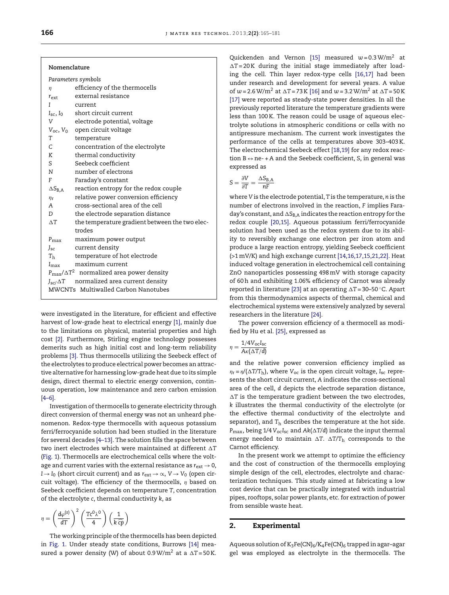| Nomenclature |
|--------------|
|--------------|

| $\eta$                  | efficiency of the thermocells                             |
|-------------------------|-----------------------------------------------------------|
| $r_{\rm ext}$           | external resistance                                       |
| I                       | current                                                   |
| $I_{\rm sc}$ , $I_0$    | short circuit current                                     |
| V                       | electrode potential, voltage                              |
|                         | $V_{oc}$ , $V_0$ open circuit voltage                     |
| T                       | temperature                                               |
| C.                      | concentration of the electrolyte                          |
| K                       | thermal conductivity                                      |
| S.                      | Seebeck coefficient                                       |
| N —                     | number of electrons                                       |
| F                       | Faraday's constant                                        |
| $\Delta S_{\text{B,A}}$ | reaction entropy for the redox couple                     |
| $\eta_r$                | relative power conversion efficiency                      |
| A                       | cross-sectional area of the cell                          |
| D.                      | the electrode separation distance                         |
| $\Delta T$              | the temperature gradient between the two elec-            |
|                         | trodes                                                    |
| $P_{\text{max}}$        | maximum power output                                      |
| $J_{\rm sc}$            | current density                                           |
| T <sub>h</sub>          | temperature of hot electrode                              |
| $I_{\max}$              | maximum current                                           |
|                         | $P_{\text{max}}/\Delta T^2$ normalized area power density |
| $J_{\rm sc}/\Delta T$   | normalized area current density                           |
|                         |                                                           |

were investigated in the literature, for efficient and effective harvest of low-grade heat to electrical energy [1], mainly due to the limitations on physical, material properties and high cost [2]. Furthermore, Stirling engine technology possesses demerits such as high initial cost and long-term reliability problems [3]. Thus thermocells utilizing the Seebeck effect of the electrolytes to produce electrical power becomes an attractive alternative for harnessing low-grade heat due to its simple design, direct thermal to electric energy conversion, continuous operation, low maintenance and zero carbon emission [4–6].

Investigation of thermocells to generate electricity through direct conversion of thermal energy was not an unheard phenomenon. Redox-type thermocells with aqueous potassium ferri/ferrocyanide solution had been studied in the literature for several decades [4–13]. The solution fills the space between two inert electrodes which were maintained at different  $\Delta T$ (Fig. 1). Thermocells are electrochemical cells where the voltage and current varies with the external resistance as  $r_{ext} \rightarrow 0$ , *I* → *I*<sub>0</sub> (short circuit current) and as  $r_{ext}$  →  $\alpha$ , *V* → *V*<sub>0</sub> (open circuit voltage). The efficiency of the thermocells,  $\eta$  based on Seebeck coefficient depends on temperature *T*, concentration of the electrolyte *c*, thermal conductivity *k*, as

$$
\eta = \left(\frac{d\varphi^{(s)}}{dT}\right)^2 \left(\frac{T c^0 \lambda^0}{4}\right) \left(\frac{1}{k \widehat{cp}}\right)
$$

The working principle of the thermocells has been depicted in Fig. 1. Under steady state conditions, Burrows [14] measured a power density (W) of about  $0.9 \,\mathrm{W/m^2}$  at a  $\Delta T = 50 \,\mathrm{K}$ .

Quickenden and Vernon [15] measured *w* = 0.3 W/m<sup>2</sup> at  $\Delta T$  = 20 K during the initial stage immediately after loading the cell. Thin layer redox-type cells [16,17] had been under research and development for several years. A value of  $w = 2.6 \text{ W/m}^2$  at  $\Delta T = 73 \text{ K}$  [16] and  $w = 3.2 \text{ W/m}^2$  at  $\Delta T = 50 \text{ K}$ [17] were reported as steady-state power densities. In all the previously reported literature the temperature gradients were less than 100 K. The reason could be usage of aqueous electrolyte solutions in atmospheric conditions or cells with no antipressure mechanism. The current work investigates the performance of the cells at temperatures above 303–403 K. The electrochemical Seebeck effect [18,19] for any redox reaction B↔ne- + A and the Seebeck coefficient, *S*, in general was expressed as

$$
S = \frac{\partial V}{\partial T} = \frac{\Delta S_{B,A}}{nF}
$$

where *V* is the electrode potential, *T* is the temperature, *n* is the number of electrons involved in the reaction, *F* implies Faraday's constant, and  $\Delta S_{\text{B,A}}$  indicates the reaction entropy for the redox couple [20,15]. Aqueous potassium ferri/ferrocyanide solution had been used as the redox system due to its ability to reversibly exchange one electron per iron atom and produce a large reaction entropy, yielding Seebeck coefficient (>1 mV/K) and high exchange current [14,16,17,15,21,22]. Heat induced voltage generation in electrochemical cell containing ZnO nanoparticles possessing 498 mV with storage capacity of 60 h and exhibiting 1.06% efficiency of Carnot was already reported in literature [23] at an operating ∆T = 30–50 °C. Apart from this thermodynamics aspects of thermal, chemical and electrochemical systems were extensively analyzed by several researchers in the literature [24].

The power conversion efficiency of a thermocell as modified by Hu et al. [25], expressed as

$$
\eta = \frac{1/4V_{\text{oc}}I_{\text{sc}}}{A\kappa(\Delta T/d)}
$$

and the relative power conversion efficiency implied as  $\eta_{\rm r}$  =  $\eta$ /( $\Delta$ T/T<sub>h</sub>), where  $V_{\rm oc}$  is the open circuit voltage, *I*<sub>sc</sub> represents the short circuit current, *A* indicates the cross-sectional area of the cell, *d* depicts the electrode separation distance,  $\Delta T$  is the temperature gradient between the two electrodes, *k* illustrates the thermal conductivity of the electrolyte (or the effective thermal conductivity of the electrolyte and separator), and  $T<sub>h</sub>$  describes the temperature at the hot side. *P*max, being 1/4 *V*oc*I*sc and *Ak*(-*T*/*d*) indicate the input thermal energy needed to maintain  $\vartriangle {\text{T}}$ .  $\vartriangle {\text{T}}/{\text{T}}_{\text{h}}$  corresponds to the Carnot efficiency.

In the present work we attempt to optimize the efficiency and the cost of construction of the thermocells employing simple design of the cell, electrodes, electrolyte and characterization techniques. This study aimed at fabricating a low cost device that can be practically integrated with industrial pipes, rooftops, solar power plants, etc. for extraction of power from sensible waste heat.

## 2. Experimental

Aqueous solution of  $K_3Fe(CN)_6/K_4Fe(CN)_6$  trapped in agar-agar gel was employed as electrolyte in the thermocells. The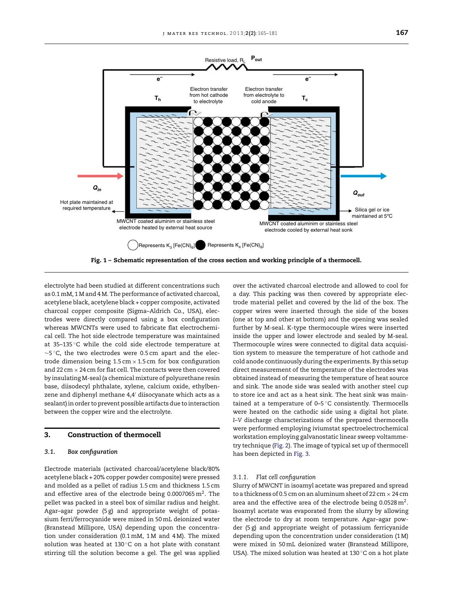

electrolyte had been studied at different concentrations such as 0.1 mM, 1 M and 4 M. The performance of activated charcoal, acetylene black, acetylene black + copper composite, activated charcoal copper composite (Sigma–Aldrich Co., USA), electrodes were directly compared using a box configuration whereas MWCNTs were used to fabricate flat electrochemical cell. The hot side electrode temperature was maintained at 35–135 ◦C while the cold side electrode temperature at ∼5 ◦C, the two electrodes were 0.5 cm apart and the electrode dimension being  $1.5 \text{ cm} \times 1.5 \text{ cm}$  for box configuration and 22 cm  $\times$  24 cm for flat cell. The contacts were then covered by insulating M-seal (a chemical mixture of polyurethane resin base, diisodecyl phthalate, xylene, calcium oxide, ethylbenzene and diphenyl methane 4,4′ diisocyanate which acts as a sealant) in order to prevent possible artifacts due to interaction between the copper wire and the electrolyte.

#### 3. Construction of thermocell

## *3.1. Box configuration*

Electrode materials (activated charcoal/acetylene black/80% acetylene black + 20% copper powder composite) were pressed and molded as a pellet of radius 1.5 cm and thickness 1.5 cm and effective area of the electrode being  $0.0007065 \,\mathrm{m}^2$ . The pellet was packed in a steel box of similar radius and height. Agar–agar powder (5 g) and appropriate weight of potassium ferri/ferrocyanide were mixed in 50 mL deionized water (Branstead Millipore, USA) depending upon the concentration under consideration (0.1 mM, 1 M and 4 M). The mixed solution was heated at 130 $^{\circ}$ C on a hot plate with constant stirring till the solution become a gel. The gel was applied over the activated charcoal electrode and allowed to cool for a day. This packing was then covered by appropriate electrode material pellet and covered by the lid of the box. The copper wires were inserted through the side of the boxes (one at top and other at bottom) and the opening was sealed further by M-seal. K-type thermocouple wires were inserted inside the upper and lower electrode and sealed by M-seal. Thermocouple wires were connected to digital data acquisition system to measure the temperature of hot cathode and cold anode continuously during the experiments. By this setup direct measurement of the temperature of the electrodes was obtained instead of measuring the temperature of heat source and sink. The anode side was sealed with another steel cup to store ice and act as a heat sink. The heat sink was maintained at a temperature of  $0-5$ °C consistently. Thermocells were heated on the cathodic side using a digital hot plate. *I*–*V* discharge characterizations of the prepared thermocells were performed employing iviumstat spectroelectrochemical workstation employing galvanostatic linear sweep voltammetry technique (Fig. 2). The image of typical set up of thermocell has been depicted in Fig. 3.

#### *3.1.1. Flat cell configuration*

Slurry of MWCNT in isoamyl acetate was prepared and spread to a thickness of 0.5 cm on an aluminum sheet of 22 cm  $\times$  24 cm area and the effective area of the electrode being 0.0528 $\mathrm{m}^{2}.$ Isoamyl acetate was evaporated from the slurry by allowing the electrode to dry at room temperature. Agar–agar powder (5 g) and appropriate weight of potassium ferricyanide depending upon the concentration under consideration (1 M) were mixed in 50 mL deionized water (Branstead Millipore, USA). The mixed solution was heated at 130 ◦C on a hot plate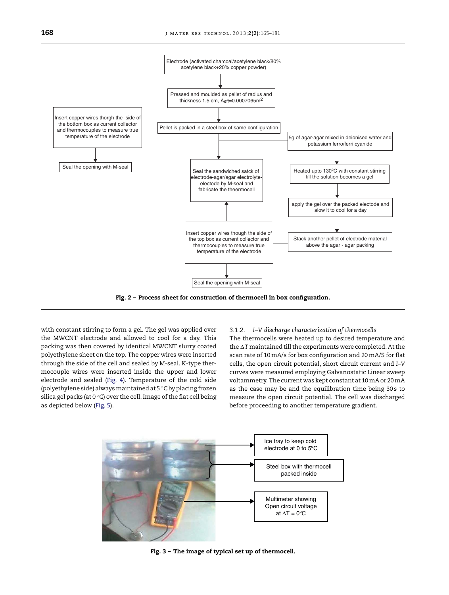

Fig. 2 – Process sheet for construction of thermocell in box configuration.

with constant stirring to form a gel. The gel was applied over the MWCNT electrode and allowed to cool for a day. This packing was then covered by identical MWCNT slurry coated polyethylene sheet on the top. The copper wires were inserted through the side of the cell and sealed by M-seal. K-type thermocouple wires were inserted inside the upper and lower electrode and sealed (Fig. 4). Temperature of the cold side (polyethylene side) always maintained at 5 ◦C by placing frozen silica gel packs (at 0  $\degree$ C) over the cell. Image of the flat cell being as depicted below (Fig. 5).

#### *3.1.2. I–V discharge characterization of thermocells*

The thermocells were heated up to desired temperature and the AT maintained till the experiments were completed. At the scan rate of 10 mA/s for box configuration and 20 mA/S for flat cells, the open circuit potential, short circuit current and *I*–*V* curves were measured employing Galvanostatic Linear sweep voltammetry. The current was kept constant at 10 mA or 20 mA as the case may be and the equilibration time being 30s to measure the open circuit potential. The cell was discharged before proceeding to another temperature gradient.



Fig. 3 – The image of typical set up of thermocell.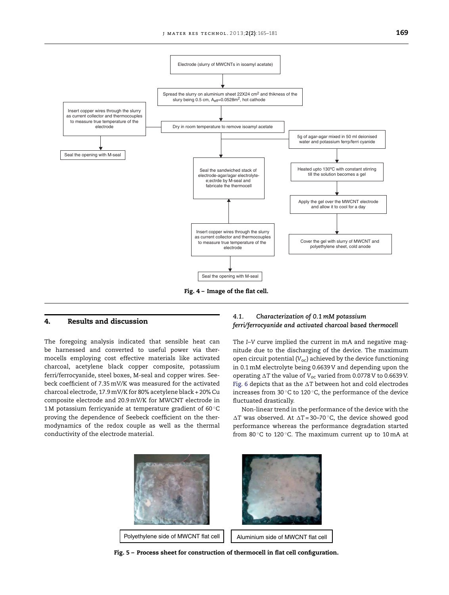

#### 4. Results and discussion

The foregoing analysis indicated that sensible heat can be harnessed and converted to useful power via thermocells employing cost effective materials like activated charcoal, acetylene black copper composite, potassium ferri/ferrocyanide, steel boxes, M-seal and copper wires. Seebeck coefficient of 7.35 mV/K was measured for the activated charcoal electrode, 17.9 mV/K for 80% acetylene black + 20% Cu composite electrode and 20.9 mV/K for MWCNT electrode in 1 M potassium ferricyanide at temperature gradient of 60 ◦C proving the dependence of Seebeck coefficient on the thermodynamics of the redox couple as well as the thermal conductivity of the electrode material.

# *4.1. Characterization of 0.1 mM potassium ferri/ferrocyanide and activated charcoal based thermocell*

The *I*–*V* curve implied the current in mA and negative magnitude due to the discharging of the device. The maximum open circuit potential (*V*oc) achieved by the device functioning in 0.1 mM electrolyte being 0.6639 V and depending upon the operating  $\Delta {\rm T}$  the value of  ${\rm V_{oc}}$  varied from 0.0778 V to 0.6639 V. Fig. 6 depicts that as the  $\Delta {\rm T}$  between hot and cold electrodes increases from 30 ◦C to 120 ◦C, the performance of the device fluctuated drastically.

Non-linear trend in the performance of the device with the  $\Delta T$  was observed. At  $\Delta T = 30 - 70$  °C, the device showed good performance whereas the performance degradation started from 80 $\degree$ C to 120 $\degree$ C. The maximum current up to 10 mA at



Fig. 5 – Process sheet for construction of thermocell in flat cell configuration.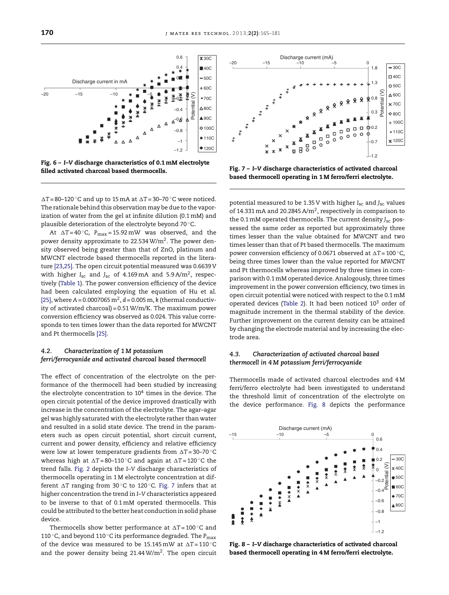$\Delta T = 80 - 120$  °C and up to 15 mA at  $\Delta T = 30 - 70$  °C were noticed. The rationale behind this observation may be due to the vaporization of water from the gel at infinite dilution (0.1 mM) and plausible deterioration of the electrolyte beyond 70 °C.

filled activated charcoal based thermocells.

At  $\Delta T = 40 \degree C$ ,  $P_{\text{max}} = 15.92 \text{ mW}$  was observed, and the power density approximate to 22.534  $W/m^2$ . The power density observed being greater than that of ZnO, platinum and MWCNT electrode based thermocells reported in the literature [23,25]. The open circuit potential measured was 0.6639 V with higher *I*sc and *J*sc of 4.169 mA and 5.9 A/m<sup>2</sup> , respectively (Table 1). The power conversion efficiency of the device had been calculated employing the equation of Hu et al.  $[25]$ , where  $A = 0.0007065 \text{ m}^2$ ,  $d = 0.005 \text{ m}$ , *k* (thermal conductivity of activated charcoal) = 0.51 W/m/K. The maximum power conversion efficiency was observed as 0.024. This value corresponds to ten times lower than the data reported for MWCNT and Pt thermocells [25].

# *4.2. Characterization of 1 M potassium ferri/ferrocyanide and activated charcoal based thermocell*

The effect of concentration of the electrolyte on the performance of the thermocell had been studied by increasing the electrolyte concentration to  $10^4$  times in the device. The open circuit potential of the device improved drastically with increase in the concentration of the electrolyte. The agar–agar gel was highly saturated with the electrolyte rather than water and resulted in a solid state device. The trend in the parameters such as open circuit potential, short circuit current, current and power density, efficiency and relative efficiency were low at lower temperature gradients from ∆T=30-70°C whereas high at  $\Delta T = 80 - 110$   $^{\circ}$ C and again at  $\Delta T = 120$   $^{\circ}$ C the trend falls. Fig. 2 depicts the *I*–*V* discharge characteristics of thermocells operating in 1 M electrolyte concentration at different ∆T ranging from 30°C to 120°C. Fig. 7 infers that at higher concentration the trend in *I*–*V* characteristics appeared to be inverse to that of 0.1 mM operated thermocells. This could be attributed to the better heat conduction in solid phase device.

Thermocells show better performance at  $\Delta T = 100$   $^{\circ} \mathrm{C}$  and <sup>110</sup> ◦C, and beyond 110 ◦C its performance degraded. The *<sup>P</sup>*max of the device was measured to be  $15.145 \,\mathrm{mW}$  at  $\Delta T = 110 \,^{\circ}\mathrm{C}$ and the power density being  $21.44 \text{ W/m}^2$ . The open circuit

Fig. 7 – *I*–*V* discharge characteristics of activated charcoal based thermocell operating in 1 M ferro/ferri electrolyte.

 $\Box$ 

п  $\circ$  $\circ$  $\Box$  $\overline{5}$  $\epsilon$  $\circ$  $\overline{B}$ 

–1.2 –0.7  $#0.2$ 

ሐ  $\circ$  $\circ$ 

0.3 0.8

 $888$ ♦

 $\Box$  $\Box$  $\Box$  $\Box$  $\Box$ 

 $\circ$  $\circ$ 

Potential (V)

 $-30c$  $\Box$ 40C 50C  $\triangle$  60C  $\times$  70C  $80C$  $+100C$  $-1100$ 120C

1.3

1.8

Discharge current (mA) –20 –15 –10 –5 0

potential measured to be 1.35 V with higher *I*sc and *J*sc values of 14.331 mA and 20.2845 A/m<sup>2</sup>, respectively in comparison to the 0.1 mM operated thermocells. The current density *J<sub>sc</sub>* possessed the same order as reported but approximately three times lesser than the value obtained for MWCNT and two times lesser than that of Pt based thermocells. The maximum power conversion efficiency of 0.0671 observed at  $\Delta T = 100\,^{\circ}$ C, being three times lower than the value reported for MWCNT and Pt thermocells whereas improved by three times in comparison with 0.1 mM operated device. Analogously, three times improvement in the power conversion efficiency, two times in open circuit potential were noticed with respect to the 0.1 mM operated devices (Table 2). It had been noticed  $10<sup>3</sup>$  order of magnitude increment in the thermal stability of the device. Further improvement on the current density can be attained by changing the electrode material and by increasing the electrode area.

#### *4.3. Characterization of activated charcoal based thermocell in 4 M potassium ferri/ferrocyanide*

Thermocells made of activated charcoal electrodes and 4 M ferri/ferro electrolyte had been investigated to understand the threshold limit of concentration of the electrolyte on the device performance. Fig. 8 depicts the performance





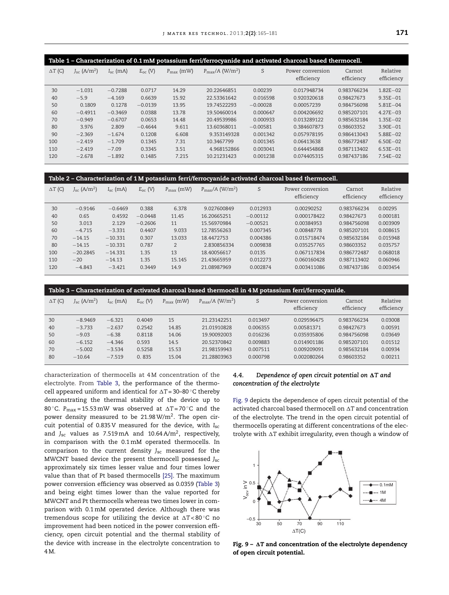| Table 1 - Characterization of 0.1 mM potassium ferri/ferrocyanide and activated charcoal based thermocell. |                                  |               |              |                       |                                        |            |                                |                      |                        |  |  |
|------------------------------------------------------------------------------------------------------------|----------------------------------|---------------|--------------|-----------------------|----------------------------------------|------------|--------------------------------|----------------------|------------------------|--|--|
| $\Delta T$ (C)                                                                                             | $J_{\rm sc}$ (A/m <sup>2</sup> ) | $I_{sc}$ (mA) | $E_{oc}$ (V) | $P_{\text{max}}$ (mW) | $P_{\text{max}}/A$ (W/m <sup>2</sup> ) | S          | Power conversion<br>efficiency | Carnot<br>efficiency | Relative<br>efficiency |  |  |
| 30                                                                                                         | $-1.031$                         | $-0.7288$     | 0.0717       | 14.29                 | 20.22646851                            | 0.00239    | 0.017948734                    | 0.983766234          | $1.82E - 02$           |  |  |
| 40                                                                                                         | $-5.9$                           | $-4.169$      | 0.6639       | 15.92                 | 22.53361642                            | 0.016598   | 0.920320618                    | 0.98427673           | $9.35E - 01$           |  |  |
| 50                                                                                                         | 0.1809                           | 0.1278        | $-0.0139$    | 13.95                 | 19.74522293                            | $-0.00028$ | 0.00057239                     | 0.984756098          | $5.81E - 04$           |  |  |
| 60                                                                                                         | $-0.4911$                        | $-0.3469$     | 0.0388       | 13.78                 | 19.50460014                            | 0.000647   | 0.004206692                    | 0.985207101          | $4.27E - 03$           |  |  |
| 70                                                                                                         | $-0.949$                         | $-0.6707$     | 0.0653       | 14.48                 | 20.49539986                            | 0.000933   | 0.013289122                    | 0.985632184          | $1.35E - 02$           |  |  |
| 80                                                                                                         | 3.976                            | 2.809         | $-0.4644$    | 9.611                 | 13.60368011                            | $-0.00581$ | 0.384607873                    | 0.98603352           | $3.90E - 01$           |  |  |
| 90                                                                                                         | $-2.369$                         | $-1.674$      | 0.1208       | 6.608                 | 9.353149328                            | 0.001342   | 0.057978195                    | 0.986413043          | $5.88E - 02$           |  |  |
| 100                                                                                                        | $-2.419$                         | $-1.709$      | 0.1345       | 7.31                  | 10.3467799                             | 0.001345   | 0.06413638                     | 0.986772487          | $6.50E - 02$           |  |  |
| 110                                                                                                        | $-2.419$                         | $-7.09$       | 0.3345       | 3.51                  | 4.968152866                            | 0.003041   | 0.644454868                    | 0.987113402          | $6.53E - 01$           |  |  |
| 120                                                                                                        | $-2.678$                         | $-1.892$      | 0.1485       | 7.215                 | 10.21231423                            | 0.001238   | 0.074405315                    | 0.987437186          | $7.54E - 02$           |  |  |

| Table 2 – Characterization of 1 M potassium ferri/ferrocyanide activated charcoal based thermocell. |                                  |               |              |                       |                                     |            |                                |                      |                        |  |  |  |
|-----------------------------------------------------------------------------------------------------|----------------------------------|---------------|--------------|-----------------------|-------------------------------------|------------|--------------------------------|----------------------|------------------------|--|--|--|
| $\Delta T$ (C)                                                                                      | $J_{\rm sc}$ (A/m <sup>2</sup> ) | $I_{sc}$ (mA) | $E_{oc}$ (V) | $P_{\text{max}}$ (mW) | $P_{\rm max}/A$ (W/m <sup>2</sup> ) | S          | Power conversion<br>efficiency | Carnot<br>efficiency | Relative<br>efficiency |  |  |  |
| 30                                                                                                  | $-0.9146$                        | $-0.6469$     | 0.388        | 6.378                 | 9.027600849                         | 0.012933   | 0.00290252                     | 0.983766234          | 0.00295                |  |  |  |
| 40                                                                                                  | 0.65                             | 0.4592        | $-0.0448$    | 11.45                 | 16.20665251                         | $-0.00112$ | 0.000178422                    | 0.98427673           | 0.000181               |  |  |  |
| 50                                                                                                  | 3.013                            | 2.129         | $-0.2606$    | 11                    | 15.56970984                         | $-0.00521$ | 0.00384953                     | 0.984756098          | 0.003909               |  |  |  |
| 60                                                                                                  | $-4.715$                         | $-3.331$      | 0.4407       | 9.033                 | 12.78556263                         | 0.007345   | 0.00848778                     | 0.985207101          | 0.008615               |  |  |  |
| 70                                                                                                  | $-14.15$                         | $-10.331$     | 0.307        | 13.033                | 18.4472753                          | 0.004386   | 0.015718474                    | 0.985632184          | 0.015948               |  |  |  |
| 80                                                                                                  | $-14.15$                         | $-10.331$     | 0.787        | $\overline{2}$        | 2.830856334                         | 0.009838   | 0.035257765                    | 0.98603352           | 0.035757               |  |  |  |
| 100                                                                                                 | $-20.2845$                       | $-14.331$     | 1.35         | 13                    | 18.40056617                         | 0.0135     | 0.067117834                    | 0.986772487          | 0.068018               |  |  |  |
| 110                                                                                                 | $-20$                            | $-14.13$      | 1.35         | 15.145                | 21.43665959                         | 0.012273   | 0.060160428                    | 0.987113402          | 0.060946               |  |  |  |
| 120                                                                                                 | $-4.843$                         | $-3.421$      | 0.3449       | 14.9                  | 21.08987969                         | 0.002874   | 0.003411086                    | 0.987437186          | 0.003454               |  |  |  |

Table 3 – Characterization of activated charcoal based thermocell in 4 M potassium ferri/ferrocyanide.  $\Delta T$  (C)  $J_{\rm sc}$  (A/m<sup>2</sup>)  $I_{\rm sc}$  (mA)  $E_{\rm oc}$  (V)  $P_{\rm max}$  (mW)  $P_{\rm max}/A$  (W/m<sup>2</sup>) ) *S* Power conversion efficiency Carnot efficiency Relative efficiency 30 −8.9469 −6.321 0.4049 15 21.23142251 0.013497 0.029596475 0.983766234 0.03008 40 −3.733 −2.637 0.2542 14.85 21.01910828 0.006355 0.00581371 0.98427673 0.00591 50 −9.03 −6.38 0.8118 14.06 19.90092003 0.016236 0.035935806 0.984756098 0.03649 60 −6.152 −4.346 0.593 14.5 20.52370842 0.009883 0.014901186 0.985207101 0.01512 70 −5.002 −3.534 0.5258 15.53 21.98159943 0.007511 0.009209091 0.985632184 0.00934 80 −10.64 −7.519 0. 835 15.04 21.28803963 0.000798 0.002080264 0.98603352 0.00211

characterization of thermocells at 4 M concentration of the electrolyte. From Table 3, the performance of the thermocell appeared uniform and identical for  $\Delta T = 30-80$   $^{\circ}$ C thereby demonstrating the thermal stability of the device up to 80 °C.  $P_{\text{max}} = 15.53 \text{ mW}$  was observed at  $\Delta T = 70 \degree \text{C}$  and the power density measured to be 21.98 $\mathrm{W}/\mathrm{m}^2$ . The open circuit potential of 0.835 V measured for the device, with *I*sc and *J*sc values as 7.519 mA and 10.64 A/m<sup>2</sup> , respectively, in comparison with the 0.1 mM operated thermocells. In comparison to the current density *J<sub>sc</sub>* measured for the MWCNT based device the present thermocell possessed *J<sub>sc</sub>* approximately six times lesser value and four times lower value than that of Pt based thermocells [25]. The maximum power conversion efficiency was observed as 0.0359 (Table 3) and being eight times lower than the value reported for MWCNT and Pt thermocells whereas two times lower in comparison with 0.1 mM operated device. Although there was tremendous scope for utilizing the device at  $\Delta T < 80$  °C no improvement had been noticed in the power conversion efficiency, open circuit potential and the thermal stability of the device with increase in the electrolyte concentration to 4 M.

#### 4.4. Dependence of open circuit potential on  $\Delta T$  and *concentration of the electrolyte*

Fig. 9 depicts the dependence of open circuit potential of the activated charcoal based thermocell on  $\varDelta T$  and concentration of the electrolyte. The trend in the open circuit potential of thermocells operating at different concentrations of the electrolyte with AT exhibit irregularity, even though a window of



Fig.  $9$  –  $\Delta T$  and concentration of the electrolyte dependency of open circuit potential.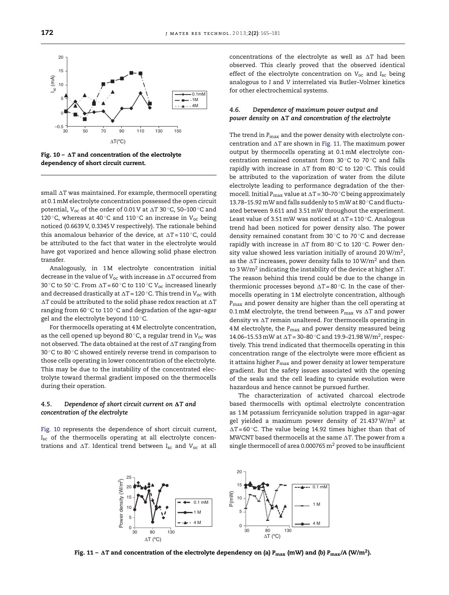

Fig.  $10 - \Delta T$  and concentration of the electrolyte dependency of short circuit current.

small  $\Delta T$  was maintained. For example, thermocell operating at 0.1 mM electrolyte concentration possessed the open circuit potential, V<sub>oc</sub> of the order of 0.01 V at ∆T 30 °C, 50–100 °C and <sup>120</sup> ◦C, whereas at 40 ◦C and 110 ◦C an increase in *<sup>V</sup>*oc being noticed (0.6639 V, 0.3345 V respectively). The rationale behind this anomalous behavior of the device, at  $\Delta T = 110$   $^{\circ}$ C, could be attributed to the fact that water in the electrolyte would have got vaporized and hence allowing solid phase electron transfer.

Analogously, in 1 M electrolyte concentration initial decrease in the value of  $V_{\text{oc}}$  with increase in  $\Delta T$  occurred from 30 °C to 50 °C. From ∆T=60 °C to 110 °C V<sub>oc</sub> increased linearly and decreased drastically at  $\Delta T = 120$  °C. This trend in  $V_{\rm oc}$  with  $\Delta {\rm T}$  could be attributed to the solid phase redox reaction at  $\Delta {\rm T}$ ranging from 60 °C to 110 °C and degradation of the agar-agar gel and the electrolyte beyond 110 ℃.

For thermocells operating at 4 M electrolyte concentration, as the cell opened up beyond 80 ◦C, a regular trend in *<sup>V</sup>*oc was not observed. The data obtained at the rest of  $\Delta {\rm T}$  ranging from 30 ◦C to 80 ◦C showed entirely reverse trend in comparison to those cells operating in lower concentration of the electrolyte. This may be due to the instability of the concentrated electrolyte toward thermal gradient imposed on the thermocells during their operation.

#### $4.5.$  Dependence of short circuit current on  $\Delta T$  and *concentration of the electrolyte*

Fig. 10 represents the dependence of short circuit current, *I*sc of the thermocells operating at all electrolyte concentrations and -*T*. Identical trend between *I*sc and *V*oc at all

concentrations of the electrolyte as well as  $\Delta T$  had been observed. This clearly proved that the observed identical effect of the electrolyte concentration on *V*oc and *I*sc being analogous to *I* and *V* interrelated via Butler–Volmer kinetics for other electrochemical systems.

# *4.6. Dependence of maximum power output and power density on* -*T and concentration of the electrolyte*

The trend in *P<sub>max</sub>* and the power density with electrolyte concentration and  $\Delta {\rm T}$  are shown in Fig. 11. The maximum power output by thermocells operating at 0.1 mM electrolyte concentration remained constant from 30 ◦C to 70 ◦C and falls rapidly with increase in ∆T from 80°C to 120°C. This could be attributed to the vaporization of water from the dilute electrolyte leading to performance degradation of the thermocell. Initial P<sub>max</sub> value at ∆T = 30–70 °C being approximately 13.78–15.92 mW and falls suddenly to 5 mW at 80 ◦C and fluctuated between 9.611 and 3.51 mW throughout the experiment. Least value of 3.51 mW was noticed at  $\Delta T = 110$   $^{\circ}$ C. Analogous trend had been noticed for power density also. The power density remained constant from 30 ◦C to 70 ◦C and decrease rapidly with increase in ∆T from 80°C to 120°C. Power density value showed less variation initially of around 20 W/m $^2\!$  , as the  $\Delta T$  increases, power density falls to 10 W/m<sup>2</sup> and then to 3 W/m<sup>2</sup> indicating the instability of the device at higher  $\Delta T$ . The reason behind this trend could be due to the change in thermionic processes beyond  $\Delta T = 80$  °C. In the case of thermocells operating in 1 M electrolyte concentration, although *P*max and power density are higher than the cell operating at 0.1 mM electrolyte, the trend between  $P_{\rm max}$  vs  $\Delta T$  and power density vs  $\Delta T$  remain unaltered. For thermocells operating in 4 M electrolyte, the *P*max and power density measured being 14.06–15.53 mW at  $\Delta T = 30-80$  °C and 19.9–21.98 W/m<sup>2</sup>, respectively. This trend indicated that thermocells operating in this concentration range of the electrolyte were more efficient as it attains higher *P<sub>max</sub>* and power density at lower temperature gradient. But the safety issues associated with the opening of the seals and the cell leading to cyanide evolution were hazardous and hence cannot be pursued further.

The characterization of activated charcoal electrode based thermocells with optimal electrolyte concentration as 1 M potassium ferricyanide solution trapped in agar–agar gel yielded a maximum power density of 21.437  $W/m^2$  at ∆T=60 °C. The value being 14.92 times higher than that of MWCNT based thermocells at the same  $\Delta {\rm T}.$  The power from a single thermocell of area 0.000765  $m<sup>2</sup>$  proved to be insufficient



Fig. 11 –  $\Delta$ T and concentration of the electrolyte dependency on (a)  $P_{\rm max}$  (mW) and (b)  $P_{\rm max}/$ A (W/m<sup>2</sup>).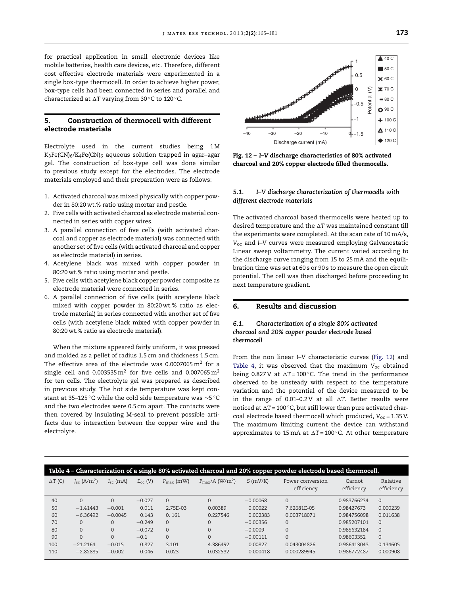for practical application in small electronic devices like mobile batteries, health care devices, etc. Therefore, different cost effective electrode materials were experimented in a single box-type thermocell. In order to achieve higher power, box-type cells had been connected in series and parallel and characterized at  $\Delta T$  varying from 30  $^{\circ}$ C to 120  $^{\circ}$ C.

# 5. Construction of thermocell with different electrode materials

Electrolyte used in the current studies being 1M  $K_3Fe(CN)_6/K_4Fe(CN)_6$  aqueous solution trapped in agar-agar gel. The construction of box-type cell was done similar to previous study except for the electrodes. The electrode materials employed and their preparation were as follows:

- 1. Activated charcoal was mixed physically with copper powder in 80:20 wt.% ratio using mortar and pestle.
- 2. Five cells with activated charcoal as electrode material connected in series with copper wires.
- 3. A parallel connection of five cells (with activated charcoal and copper as electrode material) was connected with another set of five cells (with activated charcoal and copper as electrode material) in series.
- 4. Acetylene black was mixed with copper powder in 80:20 wt.% ratio using mortar and pestle.
- 5. Five cells with acetylene black copper powder composite as electrode material were connected in series.
- 6. A parallel connection of five cells (with acetylene black mixed with copper powder in 80:20 wt.% ratio as electrode material) in series connected with another set of five cells (with acetylene black mixed with copper powder in 80:20 wt.% ratio as electrode material).

When the mixture appeared fairly uniform, it was pressed and molded as a pellet of radius 1.5 cm and thickness 1.5 cm. The effective area of the electrode was 0.0007065 $\mathrm{m}^2$  for a single cell and 0.003535 $m^2$  for five cells and 0.007065 $m^2$ for ten cells. The electrolyte gel was prepared as described in previous study. The hot side temperature was kept constant at 35–125 °C while the cold side temperature was  $\sim$ 5 °C and the two electrodes were 0.5 cm apart. The contacts were then covered by insulating M-seal to prevent possible artifacts due to interaction between the copper wire and the electrolyte.



Fig. 12 – *I*–*V* discharge characteristics of 80% activated charcoal and 20% copper electrode filled thermocells.

#### *5.1. I–V discharge characterization of thermocells with different electrode materials*

The activated charcoal based thermocells were heated up to desired temperature and the  $\Delta {\rm T}$  was maintained constant till the experiments were completed. At the scan rate of 10 mA/s, *V*oc and *I*–*V* curves were measured employing Galvanostatic Linear sweep voltammetry. The current varied according to the discharge curve ranging from 15 to 25 mA and the equilibration time was set at 60 s or 90 s to measure the open circuit potential. The cell was then discharged before proceeding to next temperature gradient.

# 6. Results and discussion

# *6.1. Characterization of a single 80% activated charcoal and 20% copper powder electrode based thermocell*

From the non linear *I*–*V* characteristic curves (Fig. 12) and Table 4, it was observed that the maximum  $V_{\text{oc}}$  obtained being  $0.827$ V at  $\Delta T = 100$   $^{\circ}$ C. The trend in the performance observed to be unsteady with respect to the temperature variation and the potential of the device measured to be in the range of 0.01–0.2∨ at all ∆T. Better results were noticed at  $\Delta T$ =100  $^{\circ}$ C, but still lower than pure activated charcoal electrode based thermocell which produced, *V*oc = 1.35 V. The maximum limiting current the device can withstand approximates to 15 mA at  $\Delta T = 100\,^{\circ}$ C. At other temperature

|                | Table 4 - Characterization of a single 80% activated charcoal and 20% copper powder electrode based thermocell. |                   |              |                       |                                     |            |                                |                      |                        |  |  |  |
|----------------|-----------------------------------------------------------------------------------------------------------------|-------------------|--------------|-----------------------|-------------------------------------|------------|--------------------------------|----------------------|------------------------|--|--|--|
| $\Delta T$ (C) | $J_{\rm sc}$ (A/m <sup>2</sup> )                                                                                | $I_{\rm sc}$ (mA) | $E_{oc}$ (V) | $P_{\text{max}}$ (mW) | $P_{\rm max}/A$ (W/m <sup>2</sup> ) | S(mV/K)    | Power conversion<br>efficiency | Carnot<br>efficiency | Relative<br>efficiency |  |  |  |
| 40             | $\Omega$                                                                                                        | $\Omega$          | $-0.027$     | $\Omega$              | $\Omega$                            | $-0.00068$ | $\Omega$                       | 0.983766234          | $\Omega$               |  |  |  |
| 50             | $-1.41443$                                                                                                      | $-0.001$          | 0.011        | 2.75E-03              | 0.00389                             | 0.00022    | 7.62681E-05                    | 0.98427673           | 0.000239               |  |  |  |
| 60             | $-6.36492$                                                                                                      | $-0.0045$         | 0.143        | 0.161                 | 0.227546                            | 0.002383   | 0.003718071                    | 0.984756098          | 0.011638               |  |  |  |
| 70             | $\Omega$                                                                                                        | $\Omega$          | $-0.249$     | $\Omega$              | $\Omega$                            | $-0.00356$ | $\Omega$                       | 0.985207101          | $\Omega$               |  |  |  |
| 80             | $\Omega$                                                                                                        | $\Omega$          | $-0.072$     | $\Omega$              | $\Omega$                            | $-0.0009$  | $\mathbf{0}$                   | 0.985632184          | $\Omega$               |  |  |  |
| 90             | $\Omega$                                                                                                        | $\Omega$          | $-0.1$       | $\Omega$              | $\Omega$                            | $-0.00111$ | $\Omega$                       | 0.98603352           | $\Omega$               |  |  |  |
| 100            | $-21.2164$                                                                                                      | $-0.015$          | 0.827        | 3.101                 | 4.386492                            | 0.00827    | 0.043004826                    | 0.986413043          | 0.134605               |  |  |  |
| 110            | $-2.82885$                                                                                                      | $-0.002$          | 0.046        | 0.023                 | 0.032532                            | 0.000418   | 0.000289945                    | 0.986772487          | 0.000908               |  |  |  |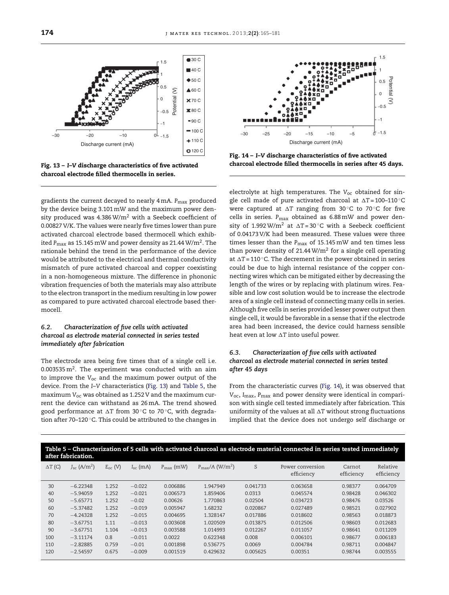

Fig. 13 – *I*–*V* discharge characteristics of five activated charcoal electrode filled thermocells in series.

gradients the current decayed to nearly 4 mA. *P*max produced by the device being 3.101 mW and the maximum power density produced was  $4.386 \text{ W/m}^2$  with a Seebeck coefficient of 0.00827 V/K. The values were nearly five times lower than pure activated charcoal electrode based thermocell which exhibited P<sub>max</sub> as 15.145 mW and power density as 21.44 W/m<sup>2</sup>. The rationale behind the trend in the performance of the device would be attributed to the electrical and thermal conductivity mismatch of pure activated charcoal and copper coexisting in a non-homogeneous mixture. The difference in phononic vibration frequencies of both the materials may also attribute to the electron transport in the medium resulting in low power as compared to pure activated charcoal electrode based thermocell.

# *6.2. Characterization of five cells with activated charcoal as electrode material connected in series tested immediately after fabrication*

The electrode area being five times that of a single cell i.e. 0.003535  $\mathrm{m}^2$ . The experiment was conducted with an aim to improve the *V*oc and the maximum power output of the device. From the *I*–*V* characteristics (Fig. 13) and Table 5, the maximum *V*oc was obtained as 1.252 V and the maximum current the device can withstand as 26 mA. The trend showed good performance at  $\Delta T$  from 30 $^{\circ}$ C to 70 $^{\circ}$ C, with degradation after 70–120 ◦C. This could be attributed to the changes in



Fig. 14 – *I*–*V* discharge characteristics of five activated charcoal electrode filled thermocells in series after 45 days.

electrolyte at high temperatures. The V<sub>oc</sub> obtained for single cell made of pure activated charcoal at  $\Delta T = 100-110$   $^{\circ}$ C were captured at ∆T ranging from 30°C to 70°C for five cells in series. *P*max obtained as 6.88 mW and power density of 1.992 W/m<sup>2</sup> at  $\Delta T = 30$  °C with a Seebeck coefficient of 0.04173 V/K had been measured. These values were three times lesser than the *P<sub>max</sub>* of 15.145 mW and ten times less than power density of 21.44  $W/m^2$  for a single cell operating at  $\Delta T$  = 110 °C. The decrement in the power obtained in series could be due to high internal resistance of the copper connecting wires which can be mitigated either by decreasing the length of the wires or by replacing with platinum wires. Feasible and low cost solution would be to increase the electrode area of a single cell instead of connecting many cells in series. Although five cells in series provided lesser power output then single cell, it would be favorable in a sense that if the electrode area had been increased, the device could harness sensible heat even at low  $\Delta {\rm T}$  into useful power.

# *6.3. Characterization of five cells with activated charcoal as electrode material connected in series tested after 45 days*

From the characteristic curves (Fig. 14), it was observed that *V*oc, *I*max, *P*max and power density were identical in comparison with single cell tested immediately after fabrication. This uniformity of the values at all  $\Delta T$  without strong fluctuations implied that the device does not undergo self discharge or

| Table 5 – Characterization of 5 cells with activated charcoal as electrode material connected in series tested immediately<br>after fabrication. |                                  |              |               |                       |                                     |          |                                |                      |                        |  |  |
|--------------------------------------------------------------------------------------------------------------------------------------------------|----------------------------------|--------------|---------------|-----------------------|-------------------------------------|----------|--------------------------------|----------------------|------------------------|--|--|
| $\Delta T$ (C)                                                                                                                                   | $J_{\rm sc}$ (A/m <sup>2</sup> ) | $E_{oc}$ (V) | $I_{sc}$ (mA) | $P_{\text{max}}$ (mW) | $P_{\rm max}/A$ (W/m <sup>2</sup> ) | S        | Power conversion<br>efficiency | Carnot<br>efficiency | Relative<br>efficiency |  |  |
| 30                                                                                                                                               | $-6.22348$                       | 1.252        | $-0.022$      | 0.006886              | 1.947949                            | 0.041733 | 0.063658                       | 0.98377              | 0.064709               |  |  |
| 40                                                                                                                                               | $-5.94059$                       | 1.252        | $-0.021$      | 0.006573              | 1.859406                            | 0.0313   | 0.045574                       | 0.98428              | 0.046302               |  |  |
| 50                                                                                                                                               | $-5.65771$                       | 1.252        | $-0.02$       | 0.00626               | 1.770863                            | 0.02504  | 0.034723                       | 0.98476              | 0.03526                |  |  |
| 60                                                                                                                                               | $-5.37482$                       | 1.252        | $-0.019$      | 0.005947              | 1.68232                             | 0.020867 | 0.027489                       | 0.98521              | 0.027902               |  |  |
| 70                                                                                                                                               | $-4.24328$                       | 1.252        | $-0.015$      | 0.004695              | 1.328147                            | 0.017886 | 0.018602                       | 0.98563              | 0.018873               |  |  |
| 80                                                                                                                                               | $-3.67751$                       | 1.11         | $-0.013$      | 0.003608              | 1.020509                            | 0.013875 | 0.012506                       | 0.98603              | 0.012683               |  |  |
| 90                                                                                                                                               | $-3.67751$                       | 1.104        | $-0.013$      | 0.003588              | 1.014993                            | 0.012267 | 0.011057                       | 0.98641              | 0.011209               |  |  |
| 100                                                                                                                                              | $-3.11174$                       | 0.8          | $-0.011$      | 0.0022                | 0.622348                            | 0.008    | 0.006101                       | 0.98677              | 0.006183               |  |  |
| 110                                                                                                                                              | $-2.82885$                       | 0.759        | $-0.01$       | 0.001898              | 0.536775                            | 0.0069   | 0.004784                       | 0.98711              | 0.004847               |  |  |
| 120                                                                                                                                              | $-2.54597$                       | 0.675        | $-0.009$      | 0.001519              | 0.429632                            | 0.005625 | 0.00351                        | 0.98744              | 0.003555               |  |  |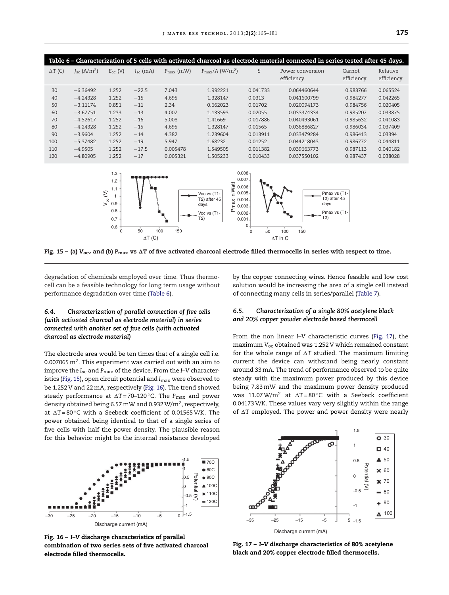| Table 6 - Characterization of 5 cells with activated charcoal as electrode material connected in series tested after 45 days. |                                  |              |                   |                       |                                        |          |                                |                      |                        |  |  |
|-------------------------------------------------------------------------------------------------------------------------------|----------------------------------|--------------|-------------------|-----------------------|----------------------------------------|----------|--------------------------------|----------------------|------------------------|--|--|
| $\Delta T$ (C)                                                                                                                | $J_{\rm sc}$ (A/m <sup>2</sup> ) | $E_{oc}$ (V) | $I_{\rm sc}$ (mA) | $P_{\text{max}}$ (mW) | $P_{\text{max}}/A$ (W/m <sup>2</sup> ) | S        | Power conversion<br>efficiency | Carnot<br>efficiency | Relative<br>efficiency |  |  |
| 30                                                                                                                            | $-6.36492$                       | 1.252        | $-22.5$           | 7.043                 | 1.992221                               | 0.041733 | 0.064460644                    | 0.983766             | 0.065524               |  |  |
| 40                                                                                                                            | $-4.24328$                       | 1.252        | $-15$             | 4.695                 | 1.328147                               | 0.0313   | 0.041600799                    | 0.984277             | 0.042265               |  |  |
| 50                                                                                                                            | $-3.11174$                       | 0.851        | $-11$             | 2.34                  | 0.662023                               | 0.01702  | 0.020094173                    | 0.984756             | 0.020405               |  |  |
| 60                                                                                                                            | $-3.67751$                       | 1.233        | $-13$             | 4.007                 | 1.133593                               | 0.02055  | 0.033374334                    | 0.985207             | 0.033875               |  |  |
| 70                                                                                                                            | $-4.52617$                       | 1.252        | $-16$             | 5.008                 | 1.41669                                | 0.017886 | 0.040493061                    | 0.985632             | 0.041083               |  |  |
| 80                                                                                                                            | $-4.24328$                       | 1.252        | $-15$             | 4.695                 | 1.328147                               | 0.01565  | 0.036886827                    | 0.986034             | 0.037409               |  |  |
| 90                                                                                                                            | $-3.9604$                        | 1.252        | $-14$             | 4.382                 | 1.239604                               | 0.013911 | 0.033479284                    | 0.986413             | 0.03394                |  |  |
| 100                                                                                                                           | $-5.37482$                       | 1.252        | $-19$             | 5.947                 | 1.68232                                | 0.01252  | 0.044218043                    | 0.986772             | 0.044811               |  |  |
| 110                                                                                                                           | $-4.9505$                        | 1.252        | $-17.5$           | 0.005478              | 1.549505                               | 0.011382 | 0.039663773                    | 0.987113             | 0.040182               |  |  |
| 120                                                                                                                           | $-4.80905$                       | 1.252        | $-17$             | 0.005321              | 1.505233                               | 0.010433 | 0.037550102                    | 0.987437             | 0.038028               |  |  |



Fig. 15 – (a)  $V_{ocv}$  and (b)  $P_{max}$  vs  $\Delta T$  of five activated charcoal electrode filled thermocells in series with respect to time.

degradation of chemicals employed over time. Thus thermocell can be a feasible technology for long term usage without performance degradation over time (Table 6).

# *6.4. Characterization of parallel connection of five cells (with activated charcoal as electrode material) in series connected with another set of five cells (with activated charcoal as electrode material)*

The electrode area would be ten times that of a single cell i.e. 0.007065 m $^2$ . This experiment was carried out with an aim to improve the *I*sc and *P*max of the device. From the *I*–*V* characteristics (Fig. 15), open circuit potential and *I*max were observed to be 1.252 V and 22 mA, respectively (Fig. 16). The trend showed steady performance at ∆T=70–120<mark>°C. The P<sub>max</sub> and power</mark> density obtained being 6.57 mW and 0.932 W/m $^2$ , respectively, at ∆T=80°C with a Seebeck coefficient of 0.01565 V/K. The power obtained being identical to that of a single series of five cells with half the power density. The plausible reason for this behavior might be the internal resistance developed



Fig. 16 – *I*–*V* discharge characteristics of parallel combination of two series sets of five activated charcoal electrode filled thermocells.

by the copper connecting wires. Hence feasible and low cost solution would be increasing the area of a single cell instead of connecting many cells in series/parallel (Table 7).

# *6.5. Characterization of a single 80% acetylene black and 20% copper powder electrode based thermocell*

From the non linear *I*–*V* characteristic curves (Fig. 17), the maximum *V*oc obtained was 1.252 V which remained constant for the whole range of  $\Delta T$  studied. The maximum limiting current the device can withstand being nearly constant around 33 mA. The trend of performance observed to be quite steady with the maximum power produced by this device being 7.83 mW and the maximum power density produced was  $11.07 \,\mathrm{W/m^2}$  at  $\Delta T = 80 \,^{\circ}\mathrm{C}$  with a Seebeck coefficient 0.04173 V/K. These values vary very slightly within the range of  $\Delta T$  employed. The power and power density were nearly



Fig. 17 – *I*–*V* discharge characteristics of 80% acetylene black and 20% copper electrode filled thermocells.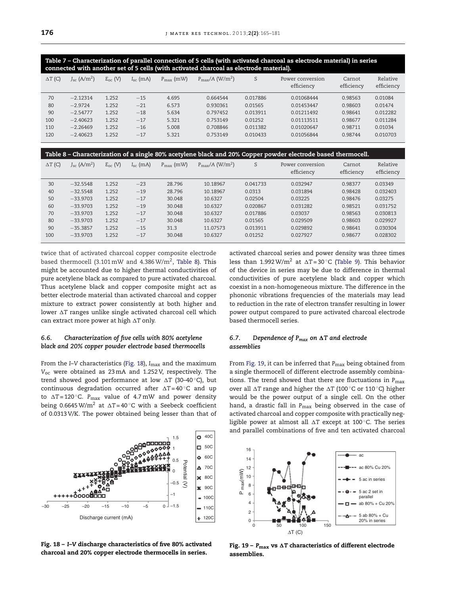Table 7 – Characterization of parallel connection of 5 cells (with activated charcoal as electrode material) in series connected with another set of 5 cells (with activated charcoal as electrode material).

| $\Delta T$ (C) | $J_{sc}$ (A/m <sup>2</sup> ) | $E_{oc}$ (V) | $I_{sc}$ (mA) | $P_{\text{max}}$ (mW) | $P_{\rm max}/A$ (W/m <sup>2</sup> ) | S        | Power conversion<br>efficiency | Carnot<br>efficiency | Relative<br>efficiency |
|----------------|------------------------------|--------------|---------------|-----------------------|-------------------------------------|----------|--------------------------------|----------------------|------------------------|
| 70             | $-2.12314$                   | 1.252        | $-15$         | 4.695                 | 0.664544                            | 0.017886 | 0.01068444                     | 0.98563              | 0.01084                |
| 80             | $-2.9724$                    | 1.252        | $-21$         | 6.573                 | 0.930361                            | 0.01565  | 0.01453447                     | 0.98603              | 0.01474                |
| 90             | $-2.54777$                   | 1.252        | $-18$         | 5.634                 | 0.797452                            | 0.013911 | 0.01211492                     | 0.98641              | 0.012282               |
| 100            | $-2.40623$                   | 1.252        | $-17$         | 5.321                 | 0.753149                            | 0.01252  | 0.01113511                     | 0.98677              | 0.011284               |
| 110            | $-2.26469$                   | 1.252        | $-16$         | 5.008                 | 0.708846                            | 0.011382 | 0.01020647                     | 0.98711              | 0.01034                |
| 120            | $-2.40623$                   | 1.252        | $-17$         | 5.321                 | 0.753149                            | 0.010433 | 0.01056844                     | 0.98744              | 0.010703               |

| Table 8 – Characterization of a single 80% acetylene black and 20% Copper powder electrode based thermocell. |                                  |              |                   |                       |                                     |          |                                |                      |                        |  |  |  |
|--------------------------------------------------------------------------------------------------------------|----------------------------------|--------------|-------------------|-----------------------|-------------------------------------|----------|--------------------------------|----------------------|------------------------|--|--|--|
| $\Delta T$ (C)                                                                                               | $J_{\rm sc}$ (A/m <sup>2</sup> ) | $E_{oc}$ (V) | $I_{\rm sc}$ (mA) | $P_{\text{max}}$ (mW) | $P_{\rm max}/A$ (W/m <sup>2</sup> ) | S        | Power conversion<br>efficiency | Carnot<br>efficiency | Relative<br>efficiency |  |  |  |
| 30                                                                                                           | $-32.5548$                       | 1.252        | $-23$             | 28.796                | 10.18967                            | 0.041733 | 0.032947                       | 0.98377              | 0.03349                |  |  |  |
| 40                                                                                                           | $-32.5548$                       | 1.252        | $-19$             | 28.796                | 10.18967                            | 0.0313   | 0.031894                       | 0.98428              | 0.032403               |  |  |  |
| 50                                                                                                           | $-33.9703$                       | 1.252        | $-17$             | 30.048                | 10.6327                             | 0.02504  | 0.03225                        | 0.98476              | 0.03275                |  |  |  |
| 60                                                                                                           | $-33.9703$                       | 1.252        | $-19$             | 30.048                | 10.6327                             | 0.020867 | 0.031282                       | 0.98521              | 0.031752               |  |  |  |
| 70                                                                                                           | $-33.9703$                       | 1.252        | $-17$             | 30.048                | 10.6327                             | 0.017886 | 0.03037                        | 0.98563              | 0.030813               |  |  |  |
| 80                                                                                                           | $-33.9703$                       | 1.252        | $-17$             | 30.048                | 10.6327                             | 0.01565  | 0.029509                       | 0.98603              | 0.029927               |  |  |  |
| 90                                                                                                           | $-35.3857$                       | 1.252        | $-15$             | 31.3                  | 11.07573                            | 0.013911 | 0.029892                       | 0.98641              | 0.030304               |  |  |  |
| 100                                                                                                          | $-33.9703$                       | 1.252        | $-17$             | 30.048                | 10.6327                             | 0.01252  | 0.027927                       | 0.98677              | 0.028302               |  |  |  |

twice that of activated charcoal copper composite electrode based thermocell (3.101 mW and 4.386 W/m $^2$ , Table 8). This might be accounted due to higher thermal conductivities of pure acetylene black as compared to pure activated charcoal. Thus acetylene black and copper composite might act as better electrode material than activated charcoal and copper mixture to extract power consistently at both higher and lower  $\Delta T$  ranges unlike single activated charcoal cell which can extract more power at high -*T* only.

#### *6.6. Characterization of five cells with 80% acetylene black and 20% copper powder electrode based thermocells*

From the *I*–*V* characteristics (Fig. 18), *I<sub>max</sub>* and the maximum *V*oc were obtained as 23 mA and 1.252 V, respectively. The trend showed good performance at low ∆T (30–40°C), but continuous degradation occurred after ∆T=40°C and up to ∆T=120 °C. P<sub>max</sub> value of 4.7 mW and power density being  $0.6645 \,\mathrm{W/m^2}$  at  $\Delta T = 40 \,^{\circ}\mathrm{C}$  with a Seebeck coefficient of 0.0313 V/K. The power obtained being lesser than that of



Fig. 18 – *I*–*V* discharge characteristics of five 80% activated charcoal and 20% copper electrode thermocells in series.

activated charcoal series and power density was three times less than 1.992 W/m<sup>2</sup> at  $\Delta T = 30$   $^{\circ}$ C (Table 9). This behavior of the device in series may be due to difference in thermal conductivities of pure acetylene black and copper which coexist in a non-homogeneous mixture. The difference in the phononic vibrations frequencies of the materials may lead to reduction in the rate of electron transfer resulting in lower power output compared to pure activated charcoal electrode based thermocell series.

#### 6.7. Dependence of P<sub>max</sub> on ΔT and electrode *assemblies*

From Fig. 19, it can be inferred that *P<sub>max</sub>* being obtained from a single thermocell of different electrode assembly combinations. The trend showed that there are fluctuations in  $P_{\text{max}}$ over all  $\Delta T$  range and higher the  $\Delta T$  (100 °C or 110 °C) higher would be the power output of a single cell. On the other hand, a drastic fall in *P<sub>max</sub>* being observed in the case of activated charcoal and copper composite with practically negligible power at almost all  $\Delta T$  except at 100 $^{\circ}$ C. The series and parallel combinations of five and ten activated charcoal



Fig. 19 –  $\rm P_{max}$  vs  $\Delta T$  characteristics of different electrode assemblies.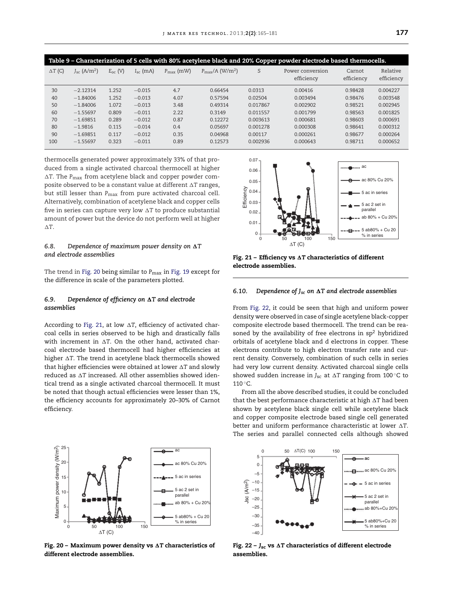| Table 9 - Characterization of 5 cells with 80% acetylene black and 20% Copper powder electrode based thermocells. |                                  |              |                   |                       |                                        |          |                                |                      |                        |  |  |
|-------------------------------------------------------------------------------------------------------------------|----------------------------------|--------------|-------------------|-----------------------|----------------------------------------|----------|--------------------------------|----------------------|------------------------|--|--|
| $\Delta T$ (C)                                                                                                    | $J_{\rm sc}$ (A/m <sup>2</sup> ) | $E_{oc}$ (V) | $I_{\rm sc}$ (mA) | $P_{\text{max}}$ (mW) | $P_{\text{max}}/A$ (W/m <sup>2</sup> ) | S        | Power conversion<br>efficiency | Carnot<br>efficiency | Relative<br>efficiency |  |  |
| 30                                                                                                                | $-2.12314$                       | 1.252        | $-0.015$          | 4.7                   | 0.66454                                | 0.0313   | 0.00416                        | 0.98428              | 0.004227               |  |  |
| 40                                                                                                                | $-1.84006$                       | 1.252        | $-0.013$          | 4.07                  | 0.57594                                | 0.02504  | 0.003494                       | 0.98476              | 0.003548               |  |  |
| 50                                                                                                                | $-1.84006$                       | 1.072        | $-0.013$          | 3.48                  | 0.49314                                | 0.017867 | 0.002902                       | 0.98521              | 0.002945               |  |  |
| 60                                                                                                                | $-1.55697$                       | 0.809        | $-0.011$          | 2.22                  | 0.3149                                 | 0.011557 | 0.001799                       | 0.98563              | 0.001825               |  |  |
| 70                                                                                                                | $-1.69851$                       | 0.289        | $-0.012$          | 0.87                  | 0.12272                                | 0.003613 | 0.000681                       | 0.98603              | 0.000691               |  |  |
| 80                                                                                                                | $-1.9816$                        | 0.115        | $-0.014$          | 0.4                   | 0.05697                                | 0.001278 | 0.000308                       | 0.98641              | 0.000312               |  |  |
| 90                                                                                                                | $-1.69851$                       | 0.117        | $-0.012$          | 0.35                  | 0.04968                                | 0.00117  | 0.000261                       | 0.98677              | 0.000264               |  |  |
| 100                                                                                                               | $-1.55697$                       | 0.323        | $-0.011$          | 0.89                  | 0.12573                                | 0.002936 | 0.000643                       | 0.98711              | 0.000652               |  |  |

thermocells generated power approximately 33% of that produced from a single activated charcoal thermocell at higher  $\Delta\text{T}$ . The  $\text{P}_{\text{max}}$  from acetylene black and copper powder composite observed to be a constant value at different  $\Delta {\rm T}$  ranges, but still lesser than *P<sub>max</sub>* from pure activated charcoal cell. Alternatively, combination of acetylene black and copper cells five in series can capture very low AT to produce substantial amount of power but the device do not perform well at higher -*T*.

#### 6.8. Dependence of maximum power density on  $\Delta T$ *and electrode assemblies*

The trend in Fig. 20 being similar to *P<sub>max</sub>* in Fig. 19 except for the difference in scale of the parameters plotted.

#### 6.9. Dependence of efficiency on  $\Delta {\rm T}$  and electrode *assemblies*

According to Fig. 21, at low  $\Delta {\rm T}$ , efficiency of activated charcoal cells in series observed to be high and drastically falls with increment in  $\Delta T$ . On the other hand, activated charcoal electrode based thermocell had higher efficiencies at higher AT. The trend in acetylene black thermocells showed that higher efficiencies were obtained at lower  $\Delta T$  and slowly reduced as  $\Delta T$  increased. All other assemblies showed identical trend as a single activated charcoal thermocell. It must be noted that though actual efficiencies were lesser than 1%, the efficiency accounts for approximately 20–30% of Carnot efficiency.



Fig. 20 – Maximum power density vs **AT** characteristics of different electrode assemblies.



Fig. 21 – Efficiency vs  $\Delta T$  characteristics of different electrode assemblies.

#### *6.10. Dependence of Jsc on* -*T and electrode assemblies*

From Fig. 22, it could be seen that high and uniform power density were observed in case of single acetylene black-copper composite electrode based thermocell. The trend can be reasoned by the availability of free electrons in  $sp<sup>2</sup>$  hybridized orbitals of acetylene black and d electrons in copper. These electrons contribute to high electron transfer rate and current density. Conversely, combination of such cells in series had very low current density. Activated charcoal single cells showed sudden increase in  $J_{\rm sc}$  at  $\Delta T$  ranging from 100  $^{\circ} \mathrm{C}$  to 110 °C.

From all the above described studies, it could be concluded that the best performance characteristic at high -*T* had been shown by acetylene black single cell while acetylene black and copper composite electrode based single cell generated better and uniform performance characteristic at lower -*T*. The series and parallel connected cells although showed



Fig. 22 − J<sub>sc</sub> vs ∆T characteristics of different electrode assemblies.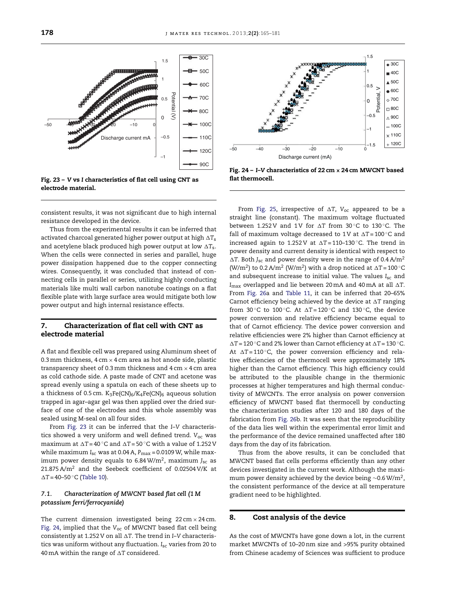consistent results, it was not significant due to high internal resistance developed in the device.

Thus from the experimental results it can be inferred that activated charcoal generated higher power output at high -*T*s and acetylene black produced high power output at low  $\Delta T_{\rm s}$ . When the cells were connected in series and parallel, huge power dissipation happened due to the copper connecting wires. Consequently, it was concluded that instead of connecting cells in parallel or series, utilizing highly conducting materials like multi wall carbon nanotube coatings on a flat flexible plate with large surface area would mitigate both low power output and high internal resistance effects.

# 7. Characterization of flat cell with CNT as electrode material

A flat and flexible cell was prepared using Aluminum sheet of 0.3 mm thickness,  $4 \text{ cm} \times 4 \text{ cm}$  area as hot anode side, plastic transparency sheet of 0.3 mm thickness and  $4 \text{ cm} \times 4 \text{ cm}$  area as cold cathode side. A paste made of CNT and acetone was spread evenly using a spatula on each of these sheets up to a thickness of 0.5 cm.  $K_3Fe(CN)_6/K_4Fe(CN)_6$  aqueous solution trapped in agar–agar gel was then applied over the dried surface of one of the electrodes and this whole assembly was sealed using M-seal on all four sides.

From Fig. 23 it can be inferred that the *I*–*V* characteristics showed a very uniform and well defined trend. *V*oc was maximum at  $\Delta T = 40$   $^{\circ}$ C and  $\Delta T = 50$   $^{\circ}$ C with a value of 1.252 V while maximum *I*sc was at 0.04 A, *P*max = 0.0109 W, while maximum power density equals to 6.84 W/m<sup>2</sup> , maximum *J*sc as 21.875 A/m<sup>2</sup> and the Seebeck coefficient of 0.02504 V/K at -*T* = 40–50 ◦C (Table 10).

# *7.1. Characterization of MWCNT based flat cell (1 M potassium ferri/ferrocyanide)*

The current dimension investigated being  $22 \text{ cm} \times 24 \text{ cm}$ . Fig. 24, implied that the V<sub>oc</sub> of MWCNT based flat cell being consistently at 1.252 V on all  $\Delta {\rm T}$ . The trend in *I–*V characteristics was uniform without any fluctuation. *I*sc varies from 20 to 40 mA within the range of  $\Delta\text{T}$  considered.



–50 –40 –30 –20 –10 0

Discharge current (mA)

 $\triangleleft$  30C

 $\blacksquare$  40C  $\triangle$  50C  $-60C$  $\sim 70C$  $\Box$  80C  $\land$  90C  $-100C$  $*$  110C  $+120C$ 

 $1.5$ 

0.5 1

 $\overline{0}$ 

–0.5

Potential, V

–1

 $\frac{1}{0}$ –1.5

From Fig. 25, irrespective of -*T*, *V*oc appeared to be a straight line (constant). The maximum voltage fluctuated between  $1.252 \text{ V}$  and  $1 \text{ V}$  for  $\Delta T$  from  $30 \degree \text{C}$  to  $130 \degree \text{C}$ . The fall of maximum voltage decreased to  $1\,\mathrm{V}$  at  $\Delta T = 100\,^{\circ}\mathrm{C}$  and  $increased$  again to 1.252 V at  $\Delta T = 110-130$   $^{\circ}$ C. The trend in power density and current density is identical with respect to  $\Delta T$ . Both *J<sub>sc</sub>* and power density were in the range of 0.4 A/m<sup>2</sup> (W/m<sup>2</sup>) to 0.2 A/m<sup>2</sup> (W/m<sup>2</sup>) with a drop noticed at  $\Delta T = 100$   $^{\circ}$ C and subsequent increase to initial value. The values *I<sub>sc</sub>* and  $I_{\rm max}$  overlapped and lie between 20 mA and 40 mA at all  $\Delta {\rm T}.$ From Fig. 26a and Table 11, it can be inferred that 20–65% Carnot efficiency being achieved by the device at AT ranging from  $30^{\circ}$ C to  $100^{\circ}$ C. At  $\Delta T = 120^{\circ}$ C and  $130^{\circ}$ C, the device power conversion and relative efficiency became equal to that of Carnot efficiency. The device power conversion and relative efficiencies were 2% higher than Carnot efficiency at  $\Delta T = 120$  °C and 2% lower than Carnot efficiency at  $\Delta T = 130$  °C. At  $\Delta T = 110$  °C, the power conversion efficiency and relative efficiencies of the thermocell were approximately 18% higher than the Carnot efficiency. This high efficiency could be attributed to the plausible change in the thermionic processes at higher temperatures and high thermal conductivity of MWCNTs. The error analysis on power conversion efficiency of MWCNT based flat thermocell by conducting the characterization studies after 120 and 180 days of the fabrication from Fig. 26b. It was seen that the reproducibility of the data lies well within the experimental error limit and the performance of the device remained unaffected after 180 days from the day of its fabrication.

Thus from the above results, it can be concluded that MWCNT based flat cells performs efficiently than any other devices investigated in the current work. Although the maximum power density achieved by the device being  $\sim$ 0.6 W/m $^2$ , the consistent performance of the device at all temperature gradient need to be highlighted.

# 8. Cost analysis of the device

As the cost of MWCNTs have gone down a lot, in the current market MWCNTs of 10–20 nm size and >95% purity obtained from Chinese academy of Sciences was sufficient to produce



electrode material.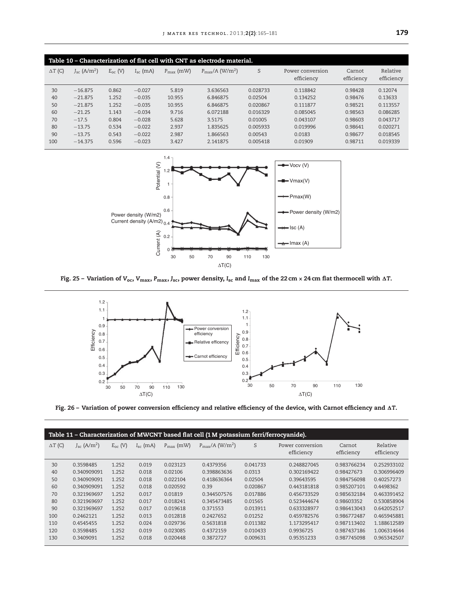| Table 10 – Characterization of flat cell with CNT as electrode material. |                                  |              |               |                       |                                     |          |                                |                      |                        |  |  |
|--------------------------------------------------------------------------|----------------------------------|--------------|---------------|-----------------------|-------------------------------------|----------|--------------------------------|----------------------|------------------------|--|--|
| $\Delta T$ (C)                                                           | $J_{\rm sc}$ (A/m <sup>2</sup> ) | $E_{oc}$ (V) | $I_{sc}$ (mA) | $P_{\text{max}}$ (mW) | $P_{\rm max}/A$ (W/m <sup>2</sup> ) | S        | Power conversion<br>efficiency | Carnot<br>efficiency | Relative<br>efficiency |  |  |
| 30                                                                       | $-16.875$                        | 0.862        | $-0.027$      | 5.819                 | 3.636563                            | 0.028733 | 0.118842                       | 0.98428              | 0.12074                |  |  |
| 40                                                                       | $-21.875$                        | 1.252        | $-0.035$      | 10.955                | 6.846875                            | 0.02504  | 0.134252                       | 0.98476              | 0.13633                |  |  |
| 50                                                                       | $-21.875$                        | 1.252        | $-0.035$      | 10.955                | 6.846875                            | 0.020867 | 0.111877                       | 0.98521              | 0.113557               |  |  |
| 60                                                                       | $-21.25$                         | 1.143        | $-0.034$      | 9.716                 | 6.072188                            | 0.016329 | 0.085045                       | 0.98563              | 0.086285               |  |  |
| 70                                                                       | $-17.5$                          | 0.804        | $-0.028$      | 5.628                 | 3.5175                              | 0.01005  | 0.043107                       | 0.98603              | 0.043717               |  |  |
| 80                                                                       | $-13.75$                         | 0.534        | $-0.022$      | 2.937                 | 1.835625                            | 0.005933 | 0.019996                       | 0.98641              | 0.020271               |  |  |
| 90                                                                       | $-13.75$                         | 0.543        | $-0.022$      | 2.987                 | 1.866563                            | 0.00543  | 0.0183                         | 0.98677              | 0.018545               |  |  |
| 100                                                                      | $-14.375$                        | 0.596        | $-0.023$      | 3.427                 | 2.141875                            | 0.005418 | 0.01909                        | 0.98711              | 0.019339               |  |  |



Fig. 25 – Variation of V<sub>oc</sub>, V<sub>max,</sub> P<sub>max,</sub> J<sub>sc</sub>, power density, I<sub>sc</sub> and I<sub>max</sub> of the 22 cm × 24 cm flat thermocell with <mark>AT</mark>.



Fig. 26 – Variation of power conversion efficiency and relative efficiency of the device, with Carnot efficiency and AT.

| Table 11 - Characterization of MWCNT based flat cell (1 M potassium ferri/ferrocyanide). |                                  |              |               |                       |                                        |          |                                |                      |                        |  |  |
|------------------------------------------------------------------------------------------|----------------------------------|--------------|---------------|-----------------------|----------------------------------------|----------|--------------------------------|----------------------|------------------------|--|--|
| $\Delta T$ (C)                                                                           | $J_{\rm sc}$ (A/m <sup>2</sup> ) | $E_{oc}$ (V) | $I_{sc}$ (mA) | $P_{\text{max}}$ (mW) | $P_{\text{max}}/A$ (W/m <sup>2</sup> ) | S        | Power conversion<br>efficiency | Carnot<br>efficiency | Relative<br>efficiency |  |  |
| 30                                                                                       | 0.3598485                        | 1.252        | 0.019         | 0.023123              | 0.4379356                              | 0.041733 | 0.248827045                    | 0.983766234          | 0.252933102            |  |  |
| 40                                                                                       | 0.340909091                      | 1.252        | 0.018         | 0.02106               | 0.398863636                            | 0.0313   | 0.302169422                    | 0.98427673           | 0.306996409            |  |  |
| 50                                                                                       | 0.340909091                      | 1.252        | 0.018         | 0.022104              | 0.418636364                            | 0.02504  | 0.39643595                     | 0.984756098          | 0.40257273             |  |  |
| 60                                                                                       | 0.340909091                      | 1.252        | 0.018         | 0.020592              | 0.39                                   | 0.020867 | 0.443181818                    | 0.985207101          | 0.4498362              |  |  |
| 70                                                                                       | 0.321969697                      | 1.252        | 0.017         | 0.01819               | 0.344507576                            | 0.017886 | 0.456733529                    | 0.985632184          | 0.463391452            |  |  |
| 80                                                                                       | 0.321969697                      | 1.252        | 0.017         | 0.018241              | 0.345473485                            | 0.01565  | 0.523444674                    | 0.98603352           | 0.530858904            |  |  |
| 90                                                                                       | 0.321969697                      | 1.252        | 0.017         | 0.019618              | 0.371553                               | 0.013911 | 0.633328977                    | 0.986413043          | 0.642052517            |  |  |
| 100                                                                                      | 0.2462121                        | 1.252        | 0.013         | 0.012818              | 0.2427652                              | 0.01252  | 0.459782576                    | 0.986772487          | 0.465945881            |  |  |
| 110                                                                                      | 0.4545455                        | 1.252        | 0.024         | 0.029736              | 0.5631818                              | 0.011382 | 1.173295417                    | 0.987113402          | 1.188612589            |  |  |
| 120                                                                                      | 0.3598485                        | 1.252        | 0.019         | 0.023085              | 0.4372159                              | 0.010433 | 0.9936725                      | 0.987437186          | 1.006314644            |  |  |
| 130                                                                                      | 0.3409091                        | 1.252        | 0.018         | 0.020448              | 0.3872727                              | 0.009631 | 0.95351233                     | 0.987745098          | 0.965342507            |  |  |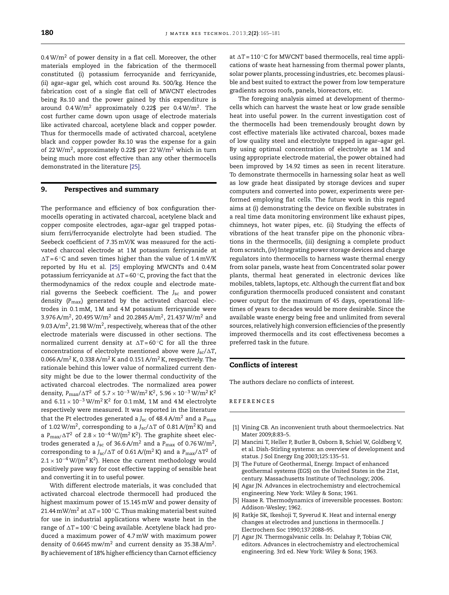$0.4 W/m<sup>2</sup>$  of power density in a flat cell. Moreover, the other materials employed in the fabrication of the thermocell constituted (i) potassium ferrocyanide and ferricyanide, (ii) agar–agar gel, which cost around Rs. 500/kg. Hence the fabrication cost of a single flat cell of MWCNT electrodes being Rs.10 and the power gained by this expenditure is around 0.4W/m<sup>2</sup> approximately 0.22\$ per 0.4W/m<sup>2</sup>. The cost further came down upon usage of electrode materials like activated charcoal, acetylene black and copper powder. Thus for thermocells made of activated charcoal, acetylene black and copper powder Rs.10 was the expense for a gain of 22W/m<sup>2</sup>, approximately 0.22\$ per 22W/m<sup>2</sup> which in turn being much more cost effective than any other thermocells demonstrated in the literature [25].

# 9. Perspectives and summary

The performance and efficiency of box configuration thermocells operating in activated charcoal, acetylene black and copper composite electrodes, agar–agar gel trapped potassium ferri/ferrocyanide electrolyte had been studied. The Seebeck coefficient of 7.35 mV/K was measured for the activated charcoal electrode at 1 M potassium ferricyanide at  $\Delta T = 6$  °C and seven times higher than the value of 1.4 mV/K reported by Hu et al. [25] employing MWCNTs and 0.4 M potassium ferricyanide at  $\Delta T$ =60  $^\circ$ C, proving the fact that the thermodynamics of the redox couple and electrode material governs the Seebeck coefficient. The *J*sc and power density (*P*max) generated by the activated charcoal electrodes in 0.1 mM, 1 M and 4 M potassium ferricyanide were 3.976 A/m $^2$ , 20.495 W/m $^2$  and 20.2845 A/m $^2$ , 21.437 W/m $^2$  and 9.03 A/m $^2$ , 21.98 W/m $^2$ , respectively, whereas that of the other electrode materials were discussed in other sections. The normalized current density at  $\Delta T = 60^{\circ}$ C for all the three concentrations of electrolyte mentioned above were *J*sc/-*T*, 0.066 A/m<sup>2</sup> K, 0.338 A/m<sup>2</sup> K and 0.151 A/m<sup>2</sup> K, respectively. The rationale behind this lower value of normalized current density might be due to the lower thermal conductivity of the activated charcoal electrodes. The normalized area power density,  $P_{\rm max}/\Delta T^2$  of  $5.7 \times 10^{-3}$  W/m<sup>2</sup> K<sup>2</sup>,  $5.96 \times 10^{-3}$  W/m<sup>2</sup> K<sup>2</sup> and  $6.11 \times 10^{-3}$  W/m<sup>2</sup> K<sup>2</sup> for 0.1 mM, 1M and 4M electrolyte respectively were measured. It was reported in the literature that the Pt electrodes generated a *J<sub>sc</sub>* of 48.4 A/m<sup>2</sup> and a P<sub>max</sub> of 1.02 W/m<sup>2</sup>, corresponding to a J<sub>sc</sub>/ $\Delta\text{T}$  of 0.81 A/(m<sup>2</sup> K) and a  $P_{\rm max}/\Delta T^2$  of 2.8  $\times$   $10^{-4}$  W/(m<sup>2</sup> K<sup>2</sup>). The graphite sheet electrodes generated a J<sub>sc</sub> of 36.6 A/m<sup>2</sup> and a P<sub>max</sub> of 0.76 W/m<sup>2</sup>, corresponding to a J<sub>sc</sub>/ $\Delta T$  of 0.61 A/(m<sup>2</sup> K) and a P $_{\rm max}/\Delta T^{2}$  of  $2.1 \times 10^{-4}$  W/(m<sup>2</sup> K<sup>2</sup>). Hence the current methodology would positively pave way for cost effective tapping of sensible heat and converting it in to useful power.

With different electrode materials, it was concluded that activated charcoal electrode thermocell had produced the highest maximum power of 15.145 mW and power density of 21.44 mW/m<sup>2</sup> at  $\Delta T = 100$  °C. Thus making material best suited for use in industrial applications where waste heat in the range of  $\Delta T$ =100  $^\circ$ C being available. Acetylene black had produced a maximum power of 4.7 mW with maximum power density of 0.6645 mw/m $^2$  and current density as 35.38 A/m $^2$ . By achievement of 18% higher efficiency than Carnot efficiency

at  $\Delta T = 110$  °C for MWCNT based thermocells, real time applications of waste heat harnessing from thermal power plants, solar power plants, processing industries, etc. becomes plausible and best suited to extract the power from low temperature gradients across roofs, panels, bioreactors, etc.

The foregoing analysis aimed at development of thermocells which can harvest the waste heat or low grade sensible heat into useful power. In the current investigation cost of the thermocells had been tremendously brought down by cost effective materials like activated charcoal, boxes made of low quality steel and electrolyte trapped in agar–agar gel. By using optimal concentration of electrolyte as 1 M and using appropriate electrode material, the power obtained had been improved by 14.92 times as seen in recent literature. To demonstrate thermocells in harnessing solar heat as well as low grade heat dissipated by storage devices and super computers and converted into power, experiments were performed employing flat cells. The future work in this regard aims at (i) demonstrating the device on flexible substrates in a real time data monitoring environment like exhaust pipes, chimneys, hot water pipes, etc. (ii) Studying the effects of vibrations of the heat transfer pipe on the phononic vibrations in the thermocells, (iii) designing a complete product from scratch, (iv) Integrating power storage devices and charge regulators into thermocells to harness waste thermal energy from solar panels, waste heat from Concentrated solar power plants, thermal heat generated in electronic devices like mobiles, tablets, laptops, etc. Although the current flat and box configuration thermocells produced consistent and constant power output for the maximum of 45 days, operational lifetimes of years to decades would be more desirable. Since the available waste energy being free and unlimited from several sources, relatively high conversion efficiencies of the presently improved thermocells and its cost effectiveness becomes a preferred task in the future.

#### Conflicts of interest

The authors declare no conflicts of interest.

#### references

- [1] Vining CB. An inconvenient truth about thermoelectrics. Nat Mater 2009;8:83–5.
- [2] Mancini T, Heller P, Butler B, Osborn B, Schiel W, Goldberg V, et al. Dish-Stirling systems: an overview of development and status. J Sol Energy Eng 2003;125:135–51.
- [3] The Future of Geothermal, Energy. Impact of enhanced geothermal systems (EGS) on the United States in the 21st, century. Massachusetts Institute of Technology; 2006.
- [4] Agar JN. Advances in electrochemistry and electrochemical engineering. New York: Wiley & Sons; 1961.
- [5] Haase R. Thermodynamics of irreversible processes. Boston: Addison-Wesley; 1962.
- [6] Ratkje SK, Ikeshoji T, Syverud K. Heat and internal energy changes at electrodes and junctions in thermocells. J Electrochem Soc 1990;137:2088–95.
- [7] Agar JN. Thermogalvanic cells. In: Delahay P, Tobias CW, editors. Advances in electrochemistry and electrochemical engineering. 3rd ed. New York: Wiley & Sons; 1963.